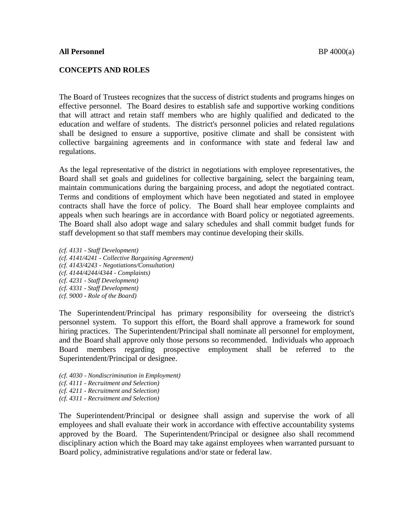#### **CONCEPTS AND ROLES**

The Board of Trustees recognizes that the success of district students and programs hinges on effective personnel. The Board desires to establish safe and supportive working conditions that will attract and retain staff members who are highly qualified and dedicated to the education and welfare of students. The district's personnel policies and related regulations shall be designed to ensure a supportive, positive climate and shall be consistent with collective bargaining agreements and in conformance with state and federal law and regulations.

As the legal representative of the district in negotiations with employee representatives, the Board shall set goals and guidelines for collective bargaining, select the bargaining team, maintain communications during the bargaining process, and adopt the negotiated contract. Terms and conditions of employment which have been negotiated and stated in employee contracts shall have the force of policy. The Board shall hear employee complaints and appeals when such hearings are in accordance with Board policy or negotiated agreements. The Board shall also adopt wage and salary schedules and shall commit budget funds for staff development so that staff members may continue developing their skills.

*(cf. 4131 - Staff Development) (cf. 4141/4241 - Collective Bargaining Agreement) (cf. 4143/4243 - Negotiations/Consultation) (cf. 4144/4244/4344 - Complaints) (cf. 4231 - Staff Development) (cf. 4331 - Staff Development) (cf. 9000 - Role of the Board)* 

The Superintendent/Principal has primary responsibility for overseeing the district's personnel system. To support this effort, the Board shall approve a framework for sound hiring practices. The Superintendent/Principal shall nominate all personnel for employment, and the Board shall approve only those persons so recommended. Individuals who approach Board members regarding prospective employment shall be referred to the Superintendent/Principal or designee.

- *(cf. 4030 Nondiscrimination in Employment)*
- *(cf. 4111 Recruitment and Selection)*
- *(cf. 4211 Recruitment and Selection)*
- *(cf. 4311 Recruitment and Selection)*

The Superintendent/Principal or designee shall assign and supervise the work of all employees and shall evaluate their work in accordance with effective accountability systems approved by the Board. The Superintendent/Principal or designee also shall recommend disciplinary action which the Board may take against employees when warranted pursuant to Board policy, administrative regulations and/or state or federal law.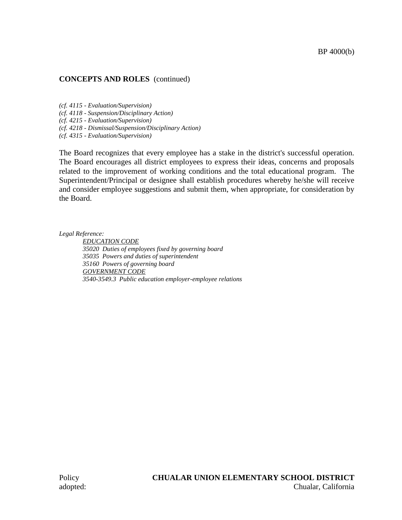# **CONCEPTS AND ROLES** (continued)

*(cf. 4115 - Evaluation/Supervision)*

*(cf. 4118 - Suspension/Disciplinary Action)*

*(cf. 4215 - Evaluation/Supervision)*

*(cf. 4218 - Dismissal/Suspension/Disciplinary Action)*

*(cf. 4315 - Evaluation/Supervision)*

The Board recognizes that every employee has a stake in the district's successful operation. The Board encourages all district employees to express their ideas, concerns and proposals related to the improvement of working conditions and the total educational program. The Superintendent/Principal or designee shall establish procedures whereby he/she will receive and consider employee suggestions and submit them, when appropriate, for consideration by the Board.

*Legal Reference:*

*EDUCATION CODE 35020 Duties of employees fixed by governing board 35035 Powers and duties of superintendent 35160 Powers of governing board GOVERNMENT CODE 3540-3549.3 Public education employer-employee relations*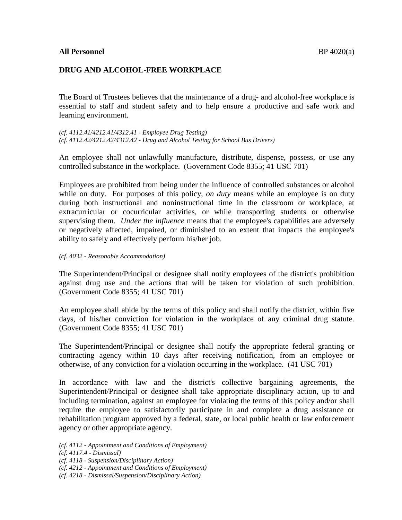# **DRUG AND ALCOHOL-FREE WORKPLACE**

The Board of Trustees believes that the maintenance of a drug- and alcohol-free workplace is essential to staff and student safety and to help ensure a productive and safe work and learning environment.

*(cf. 4112.41/4212.41/4312.41 - Employee Drug Testing) (cf. 4112.42/4212.42/4312.42 - Drug and Alcohol Testing for School Bus Drivers)* 

An employee shall not unlawfully manufacture, distribute, dispense, possess, or use any controlled substance in the workplace. (Government Code 8355; 41 USC 701)

Employees are prohibited from being under the influence of controlled substances or alcohol while on duty. For purposes of this policy, *on duty* means while an employee is on duty during both instructional and noninstructional time in the classroom or workplace, at extracurricular or cocurricular activities, or while transporting students or otherwise supervising them. *Under the influence* means that the employee's capabilities are adversely or negatively affected, impaired, or diminished to an extent that impacts the employee's ability to safely and effectively perform his/her job.

#### *(cf. 4032 - Reasonable Accommodation)*

The Superintendent/Principal or designee shall notify employees of the district's prohibition against drug use and the actions that will be taken for violation of such prohibition. (Government Code 8355; 41 USC 701)

An employee shall abide by the terms of this policy and shall notify the district, within five days, of his/her conviction for violation in the workplace of any criminal drug statute. (Government Code 8355; 41 USC 701)

The Superintendent/Principal or designee shall notify the appropriate federal granting or contracting agency within 10 days after receiving notification, from an employee or otherwise, of any conviction for a violation occurring in the workplace. (41 USC 701)

In accordance with law and the district's collective bargaining agreements, the Superintendent/Principal or designee shall take appropriate disciplinary action, up to and including termination, against an employee for violating the terms of this policy and/or shall require the employee to satisfactorily participate in and complete a drug assistance or rehabilitation program approved by a federal, state, or local public health or law enforcement agency or other appropriate agency.

- *(cf. 4112 Appointment and Conditions of Employment)*
- *(cf. 4117.4 Dismissal)*
- *(cf. 4118 Suspension/Disciplinary Action)*
- *(cf. 4212 Appointment and Conditions of Employment)*
- *(cf. 4218 Dismissal/Suspension/Disciplinary Action)*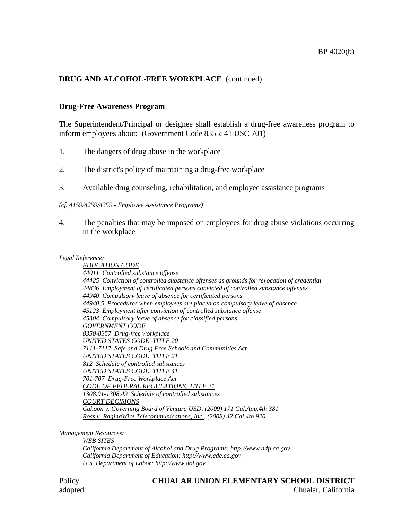# **DRUG AND ALCOHOL-FREE WORKPLACE** (continued)

# **Drug-Free Awareness Program**

The Superintendent/Principal or designee shall establish a drug-free awareness program to inform employees about: (Government Code 8355; 41 USC 701)

- 1. The dangers of drug abuse in the workplace
- 2. The district's policy of maintaining a drug-free workplace
- 3. Available drug counseling, rehabilitation, and employee assistance programs

#### *(cf. 4159/4259/4359 - Employee Assistance Programs)*

4. The penalties that may be imposed on employees for drug abuse violations occurring in the workplace

#### *Legal Reference:*

*EDUCATION CODE 44011 Controlled substance offense 44425 Conviction of controlled substance offenses as grounds for revocation of credential 44836 Employment of certificated persons convicted of controlled substance offenses 44940 Compulsory leave of absence for certificated persons 44940.5 Procedures when employees are placed on compulsory leave of absence 45123 Employment after conviction of controlled substance offense 45304 Compulsory leave of absence for classified persons GOVERNMENT CODE 8350-8357 Drug-free workplace UNITED STATES CODE, TITLE 20 7111-7117 Safe and Drug Free Schools and Communities Act UNITED STATES CODE, TITLE 21 812 Schedule of controlled substances UNITED STATES CODE, TITLE 41 701-707 Drug-Free Workplace Act CODE OF FEDERAL REGULATIONS, TITLE 21 1308.01-1308.49 Schedule of controlled substances COURT DECISIONS Cahoon v. Governing Board of Ventura USD, (2009) 171 Cal.App.4th 381 Ross v. RagingWire Telecommunications, Inc., (2008) 42 Cal.4th 920*

*Management Resources:* 

*WEB SITES California Department of Alcohol and Drug Programs: http://www.adp.ca.gov California Department of Education: http://www.cde.ca.gov U.S. Department of Labor: http://www.dol.gov*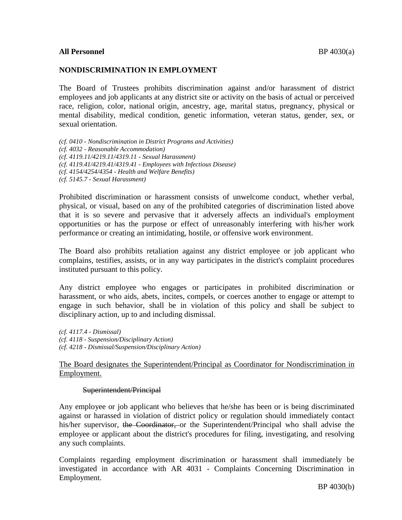#### **All Personnel** BP 4030(a)

#### **NONDISCRIMINATION IN EMPLOYMENT**

The Board of Trustees prohibits discrimination against and/or harassment of district employees and job applicants at any district site or activity on the basis of actual or perceived race, religion, color, national origin, ancestry, age, marital status, pregnancy, physical or mental disability, medical condition, genetic information, veteran status, gender, sex, or sexual orientation.

*(cf. 0410 - Nondiscrimination in District Programs and Activities) (cf. 4032 - Reasonable Accommodation) (cf. 4119.11/4219.11/4319.11 - Sexual Harassment) (cf. 4119.41/4219.41/4319.41 - Employees with Infectious Disease) (cf. 4154/4254/4354 - Health and Welfare Benefits) (cf. 5145.7 - Sexual Harassment)*

Prohibited discrimination or harassment consists of unwelcome conduct, whether verbal, physical, or visual, based on any of the prohibited categories of discrimination listed above that it is so severe and pervasive that it adversely affects an individual's employment opportunities or has the purpose or effect of unreasonably interfering with his/her work performance or creating an intimidating, hostile, or offensive work environment.

The Board also prohibits retaliation against any district employee or job applicant who complains, testifies, assists, or in any way participates in the district's complaint procedures instituted pursuant to this policy.

Any district employee who engages or participates in prohibited discrimination or harassment, or who aids, abets, incites, compels, or coerces another to engage or attempt to engage in such behavior, shall be in violation of this policy and shall be subject to disciplinary action, up to and including dismissal.

*(cf. 4117.4 - Dismissal) (cf. 4118 - Suspension/Disciplinary Action) (cf. 4218 - Dismissal/Suspension/Disciplinary Action)*

## The Board designates the Superintendent/Principal as Coordinator for Nondiscrimination in Employment.

#### Superintendent/Principal

Any employee or job applicant who believes that he/she has been or is being discriminated against or harassed in violation of district policy or regulation should immediately contact his/her supervisor, the Coordinator, or the Superintendent/Principal who shall advise the employee or applicant about the district's procedures for filing, investigating, and resolving any such complaints.

Complaints regarding employment discrimination or harassment shall immediately be investigated in accordance with AR 4031 - Complaints Concerning Discrimination in Employment.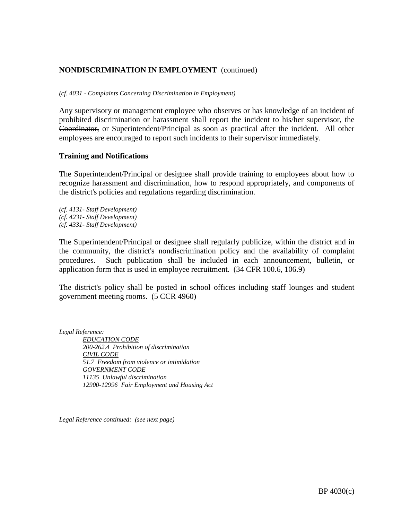### **NONDISCRIMINATION IN EMPLOYMENT** (continued)

*(cf. 4031 - Complaints Concerning Discrimination in Employment)*

Any supervisory or management employee who observes or has knowledge of an incident of prohibited discrimination or harassment shall report the incident to his/her supervisor, the Coordinator, or Superintendent/Principal as soon as practical after the incident. All other employees are encouraged to report such incidents to their supervisor immediately.

#### **Training and Notifications**

The Superintendent/Principal or designee shall provide training to employees about how to recognize harassment and discrimination, how to respond appropriately, and components of the district's policies and regulations regarding discrimination.

*(cf. 4131- Staff Development) (cf. 4231- Staff Development) (cf. 4331- Staff Development)*

The Superintendent/Principal or designee shall regularly publicize, within the district and in the community, the district's nondiscrimination policy and the availability of complaint procedures. Such publication shall be included in each announcement, bulletin, or application form that is used in employee recruitment. (34 CFR 100.6, 106.9)

The district's policy shall be posted in school offices including staff lounges and student government meeting rooms. (5 CCR 4960)

*Legal Reference: EDUCATION CODE 200-262.4 Prohibition of discrimination CIVIL CODE 51.7 Freedom from violence or intimidation GOVERNMENT CODE 11135 Unlawful discrimination 12900-12996 Fair Employment and Housing Act*

*Legal Reference continued: (see next page)*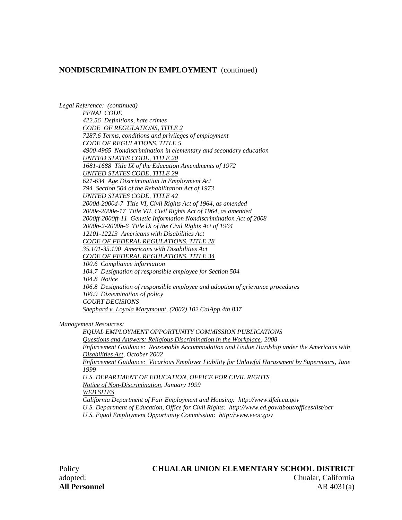#### **NONDISCRIMINATION IN EMPLOYMENT** (continued)

*Legal Reference: (continued) PENAL CODE 422.56 Definitions, hate crimes CODE OF REGULATIONS, TITLE 2 7287.6 Terms, conditions and privileges of employment CODE OF REGULATIONS, TITLE 5 4900-4965 Nondiscrimination in elementary and secondary education UNITED STATES CODE, TITLE 20 1681-1688 Title IX of the Education Amendments of 1972 UNITED STATES CODE, TITLE 29 621-634 Age Discrimination in Employment Act 794 Section 504 of the Rehabilitation Act of 1973 UNITED STATES CODE, TITLE 42 2000d-2000d-7 Title VI, Civil Rights Act of 1964, as amended 2000e-2000e-17 Title VII, Civil Rights Act of 1964, as amended 2000ff-2000ff-11 Genetic Information Nondiscrimination Act of 2008 2000h-2-2000h-6 Title IX of the Civil Rights Act of 1964 12101-12213 Americans with Disabilities Act CODE OF FEDERAL REGULATIONS, TITLE 28 35.101-35.190 Americans with Disabilities Act CODE OF FEDERAL REGULATIONS, TITLE 34 100.6 Compliance information 104.7 Designation of responsible employee for Section 504 104.8 Notice 106.8 Designation of responsible employee and adoption of grievance procedures 106.9 Dissemination of policy COURT DECISIONS Shephard v. Loyola Marymount, (2002) 102 CalApp.4th 837*

*Management Resources:* 

*EQUAL EMPLOYMENT OPPORTUNITY COMMISSION PUBLICATIONS Questions and Answers: Religious Discrimination in the Workplace, 2008 Enforcement Guidance: Reasonable Accommodation and Undue Hardship under the Americans with Disabilities Act, October 2002 Enforcement Guidance: Vicarious Employer Liability for Unlawful Harassment by Supervisors, June 1999*

*U.S. DEPARTMENT OF EDUCATION, OFFICE FOR CIVIL RIGHTS*

*Notice of Non-Discrimination, January 1999* 

*WEB SITES*

*California Department of Fair Employment and Housing: http://www.dfeh.ca.gov* 

*U.S. Department of Education, Office for Civil Rights: http://www.ed.gov/about/offices/list/ocr* 

*U.S. Equal Employment Opportunity Commission: http://www.eeoc.gov*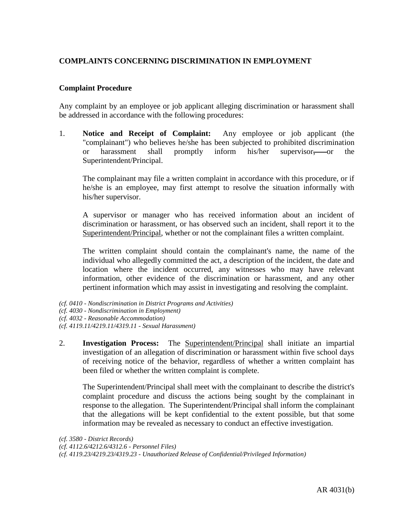# **COMPLAINTS CONCERNING DISCRIMINATION IN EMPLOYMENT**

#### **Complaint Procedure**

Any complaint by an employee or job applicant alleging discrimination or harassment shall be addressed in accordance with the following procedures:

1. **Notice and Receipt of Complaint:** Any employee or job applicant (the "complainant") who believes he/she has been subjected to prohibited discrimination or harassment shall promptly inform his/her supervisor, or the Superintendent/Principal.

The complainant may file a written complaint in accordance with this procedure, or if he/she is an employee, may first attempt to resolve the situation informally with his/her supervisor.

A supervisor or manager who has received information about an incident of discrimination or harassment, or has observed such an incident, shall report it to the Superintendent/Principal, whether or not the complainant files a written complaint.

The written complaint should contain the complainant's name, the name of the individual who allegedly committed the act, a description of the incident, the date and location where the incident occurred, any witnesses who may have relevant information, other evidence of the discrimination or harassment, and any other pertinent information which may assist in investigating and resolving the complaint.

- *(cf. 0410 Nondiscrimination in District Programs and Activities)*
- *(cf. 4030 Nondiscrimination in Employment)*
- *(cf. 4032 Reasonable Accommodation)*
- *(cf. 4119.11/4219.11/4319.11 Sexual Harassment)*
- 2. **Investigation Process:** The Superintendent/Principal shall initiate an impartial investigation of an allegation of discrimination or harassment within five school days of receiving notice of the behavior, regardless of whether a written complaint has been filed or whether the written complaint is complete.

The Superintendent/Principal shall meet with the complainant to describe the district's complaint procedure and discuss the actions being sought by the complainant in response to the allegation. The Superintendent/Principal shall inform the complainant that the allegations will be kept confidential to the extent possible, but that some information may be revealed as necessary to conduct an effective investigation.

```
(cf. 3580 - District Records) 
(cf. 4112.6/4212.6/4312.6 - Personnel Files) 
(cf. 4119.23/4219.23/4319.23 - Unauthorized Release of Confidential/Privileged Information)
```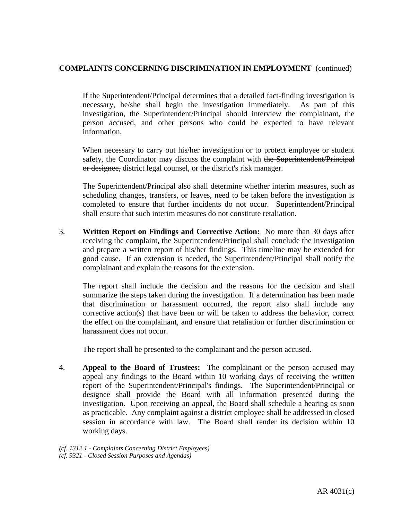# **COMPLAINTS CONCERNING DISCRIMINATION IN EMPLOYMENT** (continued)

If the Superintendent/Principal determines that a detailed fact-finding investigation is necessary, he/she shall begin the investigation immediately. As part of this investigation, the Superintendent/Principal should interview the complainant, the person accused, and other persons who could be expected to have relevant information.

When necessary to carry out his/her investigation or to protect employee or student safety, the Coordinator may discuss the complaint with the Superintendent/Principal or designee, district legal counsel, or the district's risk manager.

The Superintendent/Principal also shall determine whether interim measures, such as scheduling changes, transfers, or leaves, need to be taken before the investigation is completed to ensure that further incidents do not occur. Superintendent/Principal shall ensure that such interim measures do not constitute retaliation.

3. **Written Report on Findings and Corrective Action:** No more than 30 days after receiving the complaint, the Superintendent/Principal shall conclude the investigation and prepare a written report of his/her findings. This timeline may be extended for good cause. If an extension is needed, the Superintendent/Principal shall notify the complainant and explain the reasons for the extension.

The report shall include the decision and the reasons for the decision and shall summarize the steps taken during the investigation. If a determination has been made that discrimination or harassment occurred, the report also shall include any corrective action(s) that have been or will be taken to address the behavior, correct the effect on the complainant, and ensure that retaliation or further discrimination or harassment does not occur.

The report shall be presented to the complainant and the person accused.

4. **Appeal to the Board of Trustees:** The complainant or the person accused may appeal any findings to the Board within 10 working days of receiving the written report of the Superintendent/Principal's findings. The Superintendent/Principal or designee shall provide the Board with all information presented during the investigation. Upon receiving an appeal, the Board shall schedule a hearing as soon as practicable. Any complaint against a district employee shall be addressed in closed session in accordance with law. The Board shall render its decision within 10 working days.

*(cf. 1312.1 - Complaints Concerning District Employees) (cf. 9321 - Closed Session Purposes and Agendas)*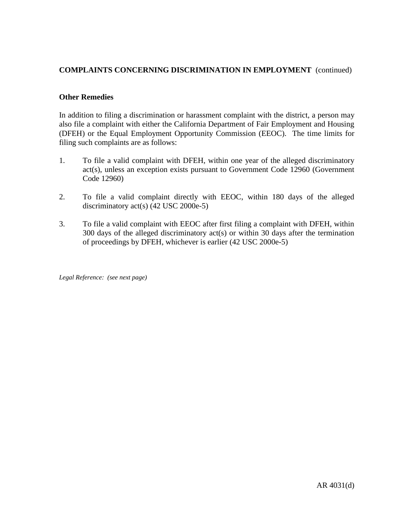# **COMPLAINTS CONCERNING DISCRIMINATION IN EMPLOYMENT** (continued)

## **Other Remedies**

In addition to filing a discrimination or harassment complaint with the district, a person may also file a complaint with either the California Department of Fair Employment and Housing (DFEH) or the Equal Employment Opportunity Commission (EEOC). The time limits for filing such complaints are as follows:

- 1. To file a valid complaint with DFEH, within one year of the alleged discriminatory act(s), unless an exception exists pursuant to Government Code 12960 (Government Code 12960)
- 2. To file a valid complaint directly with EEOC, within 180 days of the alleged discriminatory act(s) (42 USC 2000e-5)
- 3. To file a valid complaint with EEOC after first filing a complaint with DFEH, within 300 days of the alleged discriminatory act(s) or within 30 days after the termination of proceedings by DFEH, whichever is earlier (42 USC 2000e-5)

*Legal Reference: (see next page)*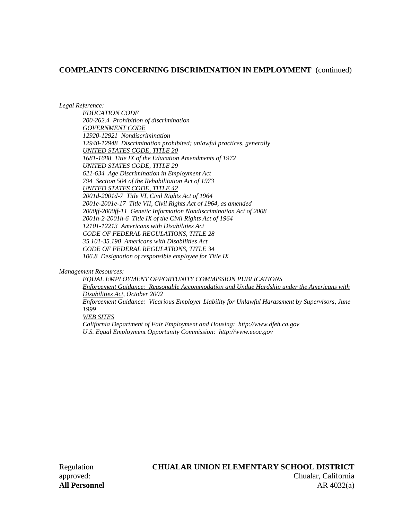### **COMPLAINTS CONCERNING DISCRIMINATION IN EMPLOYMENT** (continued)

*Legal Reference:*

*EDUCATION CODE 200-262.4 Prohibition of discrimination GOVERNMENT CODE 12920-12921 Nondiscrimination 12940-12948 Discrimination prohibited; unlawful practices, generally UNITED STATES CODE, TITLE 20 1681-1688 Title IX of the Education Amendments of 1972 UNITED STATES CODE, TITLE 29 621-634 Age Discrimination in Employment Act 794 Section 504 of the Rehabilitation Act of 1973 UNITED STATES CODE, TITLE 42 2001d-2001d-7 Title VI, Civil Rights Act of 1964 2001e-2001e-17 Title VII, Civil Rights Act of 1964, as amended 2000ff-2000ff-11 Genetic Information Nondiscrimination Act of 2008 2001h-2-2001h-6 Title IX of the Civil Rights Act of 1964 12101-12213 Americans with Disabilities Act CODE OF FEDERAL REGULATIONS, TITLE 28 35.101-35.190 Americans with Disabilities Act CODE OF FEDERAL REGULATIONS, TITLE 34 106.8 Designation of responsible employee for Title IX*

*Management Resources:*

*EQUAL EMPLOYMENT OPPORTUNITY COMMISSION PUBLICATIONS Enforcement Guidance: Reasonable Accommodation and Undue Hardship under the Americans with Disabilities Act, October 2002 Enforcement Guidance: Vicarious Employer Liability for Unlawful Harassment by Supervisors, June 1999 WEB SITES California Department of Fair Employment and Housing: http://www.dfeh.ca.gov U.S. Equal Employment Opportunity Commission: http://www.eeoc.gov*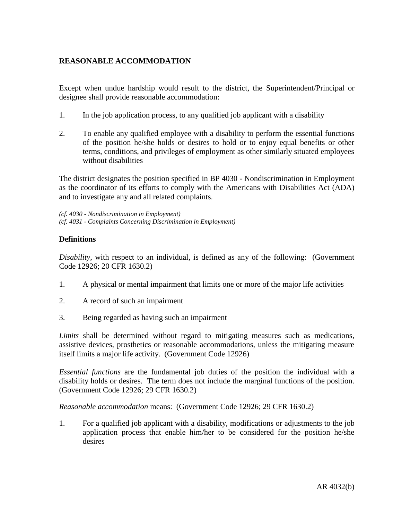# **REASONABLE ACCOMMODATION**

Except when undue hardship would result to the district, the Superintendent/Principal or designee shall provide reasonable accommodation:

- 1. In the job application process, to any qualified job applicant with a disability
- 2. To enable any qualified employee with a disability to perform the essential functions of the position he/she holds or desires to hold or to enjoy equal benefits or other terms, conditions, and privileges of employment as other similarly situated employees without disabilities

The district designates the position specified in BP 4030 - Nondiscrimination in Employment as the coordinator of its efforts to comply with the Americans with Disabilities Act (ADA) and to investigate any and all related complaints.

*(cf. 4030 - Nondiscrimination in Employment) (cf. 4031 - Complaints Concerning Discrimination in Employment)*

# **Definitions**

*Disability*, with respect to an individual, is defined as any of the following: (Government Code 12926; 20 CFR 1630.2)

- 1. A physical or mental impairment that limits one or more of the major life activities
- 2. A record of such an impairment
- 3. Being regarded as having such an impairment

*Limits* shall be determined without regard to mitigating measures such as medications, assistive devices, prosthetics or reasonable accommodations, unless the mitigating measure itself limits a major life activity. (Government Code 12926)

*Essential functions* are the fundamental job duties of the position the individual with a disability holds or desires. The term does not include the marginal functions of the position. (Government Code 12926; 29 CFR 1630.2)

*Reasonable accommodation* means: (Government Code 12926; 29 CFR 1630.2)

1. For a qualified job applicant with a disability, modifications or adjustments to the job application process that enable him/her to be considered for the position he/she desires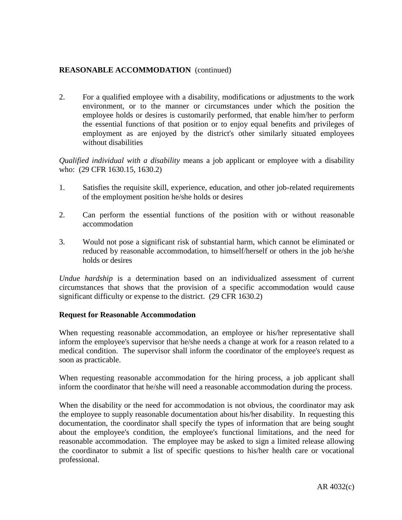2. For a qualified employee with a disability, modifications or adjustments to the work environment, or to the manner or circumstances under which the position the employee holds or desires is customarily performed, that enable him/her to perform the essential functions of that position or to enjoy equal benefits and privileges of employment as are enjoyed by the district's other similarly situated employees without disabilities

*Qualified individual with a disability* means a job applicant or employee with a disability who: (29 CFR 1630.15, 1630.2)

- 1. Satisfies the requisite skill, experience, education, and other job-related requirements of the employment position he/she holds or desires
- 2. Can perform the essential functions of the position with or without reasonable accommodation
- 3. Would not pose a significant risk of substantial harm, which cannot be eliminated or reduced by reasonable accommodation, to himself/herself or others in the job he/she holds or desires

*Undue hardship* is a determination based on an individualized assessment of current circumstances that shows that the provision of a specific accommodation would cause significant difficulty or expense to the district. (29 CFR 1630.2)

### **Request for Reasonable Accommodation**

When requesting reasonable accommodation, an employee or his/her representative shall inform the employee's supervisor that he/she needs a change at work for a reason related to a medical condition. The supervisor shall inform the coordinator of the employee's request as soon as practicable.

When requesting reasonable accommodation for the hiring process, a job applicant shall inform the coordinator that he/she will need a reasonable accommodation during the process.

When the disability or the need for accommodation is not obvious, the coordinator may ask the employee to supply reasonable documentation about his/her disability. In requesting this documentation, the coordinator shall specify the types of information that are being sought about the employee's condition, the employee's functional limitations, and the need for reasonable accommodation. The employee may be asked to sign a limited release allowing the coordinator to submit a list of specific questions to his/her health care or vocational professional.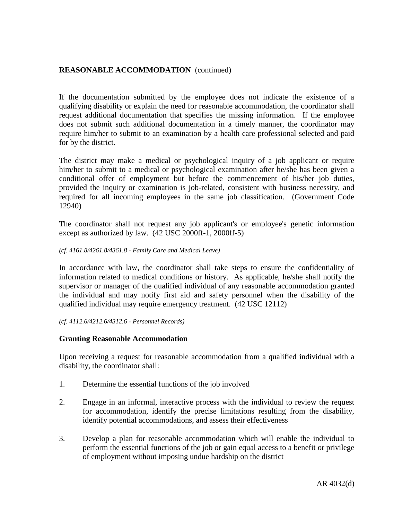If the documentation submitted by the employee does not indicate the existence of a qualifying disability or explain the need for reasonable accommodation, the coordinator shall request additional documentation that specifies the missing information. If the employee does not submit such additional documentation in a timely manner, the coordinator may require him/her to submit to an examination by a health care professional selected and paid for by the district.

The district may make a medical or psychological inquiry of a job applicant or require him/her to submit to a medical or psychological examination after he/she has been given a conditional offer of employment but before the commencement of his/her job duties, provided the inquiry or examination is job-related, consistent with business necessity, and required for all incoming employees in the same job classification. (Government Code 12940)

The coordinator shall not request any job applicant's or employee's genetic information except as authorized by law. (42 USC 2000ff-1, 2000ff-5)

#### *(cf. 4161.8/4261.8/4361.8 - Family Care and Medical Leave)*

In accordance with law, the coordinator shall take steps to ensure the confidentiality of information related to medical conditions or history. As applicable, he/she shall notify the supervisor or manager of the qualified individual of any reasonable accommodation granted the individual and may notify first aid and safety personnel when the disability of the qualified individual may require emergency treatment. (42 USC 12112)

*(cf. 4112.6/4212.6/4312.6 - Personnel Records)*

#### **Granting Reasonable Accommodation**

Upon receiving a request for reasonable accommodation from a qualified individual with a disability, the coordinator shall:

- 1. Determine the essential functions of the job involved
- 2. Engage in an informal, interactive process with the individual to review the request for accommodation, identify the precise limitations resulting from the disability, identify potential accommodations, and assess their effectiveness
- 3. Develop a plan for reasonable accommodation which will enable the individual to perform the essential functions of the job or gain equal access to a benefit or privilege of employment without imposing undue hardship on the district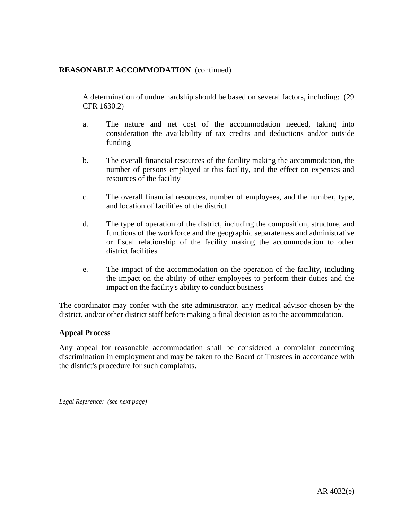A determination of undue hardship should be based on several factors, including: (29 CFR 1630.2)

- a. The nature and net cost of the accommodation needed, taking into consideration the availability of tax credits and deductions and/or outside funding
- b. The overall financial resources of the facility making the accommodation, the number of persons employed at this facility, and the effect on expenses and resources of the facility
- c. The overall financial resources, number of employees, and the number, type, and location of facilities of the district
- d. The type of operation of the district, including the composition, structure, and functions of the workforce and the geographic separateness and administrative or fiscal relationship of the facility making the accommodation to other district facilities
- e. The impact of the accommodation on the operation of the facility, including the impact on the ability of other employees to perform their duties and the impact on the facility's ability to conduct business

The coordinator may confer with the site administrator, any medical advisor chosen by the district, and/or other district staff before making a final decision as to the accommodation.

### **Appeal Process**

Any appeal for reasonable accommodation shall be considered a complaint concerning discrimination in employment and may be taken to the Board of Trustees in accordance with the district's procedure for such complaints.

*Legal Reference: (see next page)*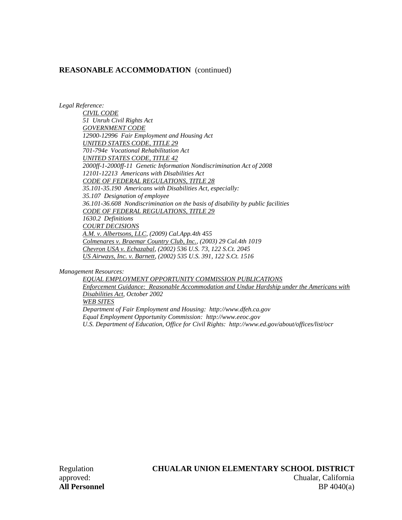*Legal Reference:*

*CIVIL CODE 51 Unruh Civil Rights Act GOVERNMENT CODE 12900-12996 Fair Employment and Housing Act UNITED STATES CODE, TITLE 29 701-794e Vocational Rehabilitation Act UNITED STATES CODE, TITLE 42 2000ff-1-2000ff-11 Genetic Information Nondiscrimination Act of 2008 12101-12213 Americans with Disabilities Act CODE OF FEDERAL REGULATIONS, TITLE 28 35.101-35.190 Americans with Disabilities Act, especially: 35.107 Designation of employee 36.101-36.608 Nondiscrimination on the basis of disability by public facilities CODE OF FEDERAL REGULATIONS, TITLE 29 1630.2 Definitions COURT DECISIONS A.M. v. Albertsons, LLC, (2009) Cal.App.4th 455 Colmenares v. Braemar Country Club, Inc., (2003) 29 Cal.4th 1019 Chevron USA v. Echazabal, (2002) 536 U.S. 73, 122 S.Ct. 2045 US Airways, Inc. v. Barnett, (2002) 535 U.S. 391, 122 S.Ct. 1516*

*Management Resources:*

*EQUAL EMPLOYMENT OPPORTUNITY COMMISSION PUBLICATIONS Enforcement Guidance: Reasonable Accommodation and Undue Hardship under the Americans with Disabilities Act, October 2002 WEB SITES Department of Fair Employment and Housing: http://www.dfeh.ca.gov Equal Employment Opportunity Commission: http://www.eeoc.gov U.S. Department of Education, Office for Civil Rights: http://www.ed.gov/about/offices/list/ocr*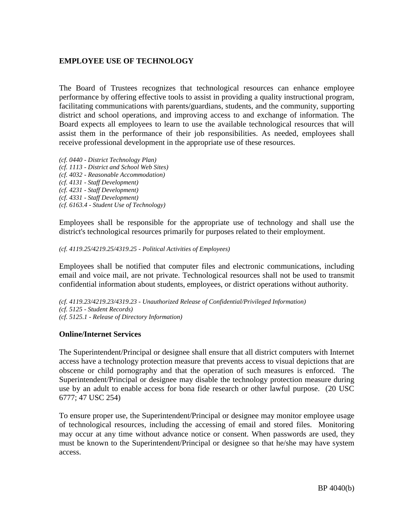# **EMPLOYEE USE OF TECHNOLOGY**

The Board of Trustees recognizes that technological resources can enhance employee performance by offering effective tools to assist in providing a quality instructional program, facilitating communications with parents/guardians, students, and the community, supporting district and school operations, and improving access to and exchange of information. The Board expects all employees to learn to use the available technological resources that will assist them in the performance of their job responsibilities. As needed, employees shall receive professional development in the appropriate use of these resources.

*(cf. 0440 - District Technology Plan) (cf. 1113 - District and School Web Sites) (cf. 4032 - Reasonable Accommodation) (cf. 4131 - Staff Development) (cf. 4231 - Staff Development) (cf. 4331 - Staff Development) (cf. 6163.4 - Student Use of Technology)* 

Employees shall be responsible for the appropriate use of technology and shall use the district's technological resources primarily for purposes related to their employment.

#### *(cf. 4119.25/4219.25/4319.25 - Political Activities of Employees)*

Employees shall be notified that computer files and electronic communications, including email and voice mail, are not private. Technological resources shall not be used to transmit confidential information about students, employees, or district operations without authority.

*(cf. 4119.23/4219.23/4319.23 - Unauthorized Release of Confidential/Privileged Information) (cf. 5125 - Student Records) (cf. 5125.1 - Release of Directory Information)* 

### **Online/Internet Services**

The Superintendent/Principal or designee shall ensure that all district computers with Internet access have a technology protection measure that prevents access to visual depictions that are obscene or child pornography and that the operation of such measures is enforced. The Superintendent/Principal or designee may disable the technology protection measure during use by an adult to enable access for bona fide research or other lawful purpose. (20 USC 6777; 47 USC 254)

To ensure proper use, the Superintendent/Principal or designee may monitor employee usage of technological resources, including the accessing of email and stored files. Monitoring may occur at any time without advance notice or consent. When passwords are used, they must be known to the Superintendent/Principal or designee so that he/she may have system access.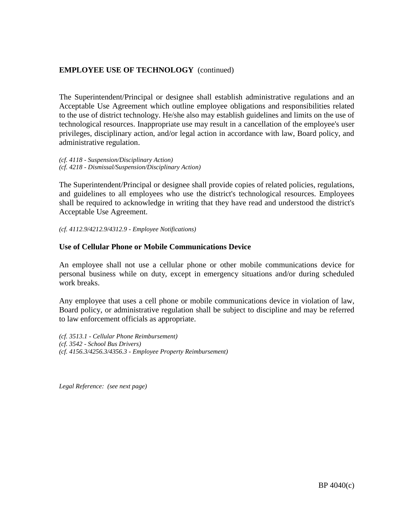# **EMPLOYEE USE OF TECHNOLOGY** (continued)

The Superintendent/Principal or designee shall establish administrative regulations and an Acceptable Use Agreement which outline employee obligations and responsibilities related to the use of district technology. He/she also may establish guidelines and limits on the use of technological resources. Inappropriate use may result in a cancellation of the employee's user privileges, disciplinary action, and/or legal action in accordance with law, Board policy, and administrative regulation.

*(cf. 4118 - Suspension/Disciplinary Action) (cf. 4218 - Dismissal/Suspension/Disciplinary Action)*

The Superintendent/Principal or designee shall provide copies of related policies, regulations, and guidelines to all employees who use the district's technological resources. Employees shall be required to acknowledge in writing that they have read and understood the district's Acceptable Use Agreement.

*(cf. 4112.9/4212.9/4312.9 - Employee Notifications)* 

#### **Use of Cellular Phone or Mobile Communications Device**

An employee shall not use a cellular phone or other mobile communications device for personal business while on duty, except in emergency situations and/or during scheduled work breaks.

Any employee that uses a cell phone or mobile communications device in violation of law, Board policy, or administrative regulation shall be subject to discipline and may be referred to law enforcement officials as appropriate.

*(cf. 3513.1 - Cellular Phone Reimbursement) (cf. 3542 - School Bus Drivers) (cf. 4156.3/4256.3/4356.3 - Employee Property Reimbursement)* 

*Legal Reference: (see next page)*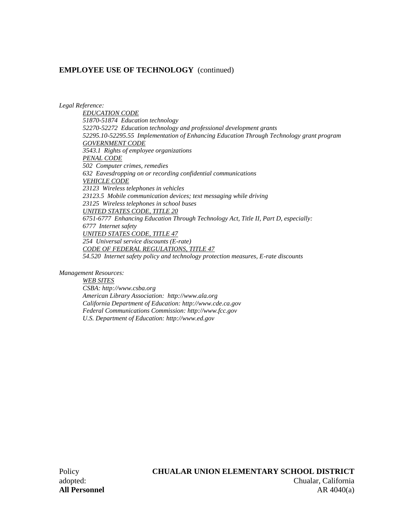### **EMPLOYEE USE OF TECHNOLOGY** (continued)

*Legal Reference:* 

*EDUCATION CODE 51870-51874 Education technology 52270-52272 Education technology and professional development grants 52295.10-52295.55 Implementation of Enhancing Education Through Technology grant program GOVERNMENT CODE 3543.1 Rights of employee organizations PENAL CODE 502 Computer crimes, remedies 632 Eavesdropping on or recording confidential communications VEHICLE CODE 23123 Wireless telephones in vehicles 23123.5 Mobile communication devices; text messaging while driving 23125 Wireless telephones in school buses UNITED STATES CODE, TITLE 20 6751-6777 Enhancing Education Through Technology Act, Title II, Part D, especially: 6777 Internet safety UNITED STATES CODE, TITLE 47 254 Universal service discounts (E-rate) CODE OF FEDERAL REGULATIONS, TITLE 47 54.520 Internet safety policy and technology protection measures, E-rate discounts* 

*Management Resources:* 

*WEB SITES CSBA: http://www.csba.org American Library Association: http://www.ala.org California Department of Education: http://www.cde.ca.gov Federal Communications Commission: http://www.fcc.gov U.S. Department of Education: http://www.ed.gov*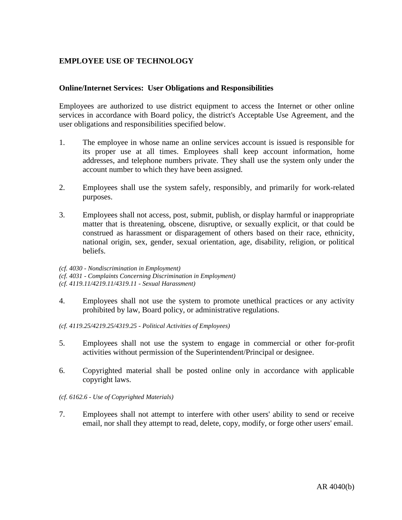# **EMPLOYEE USE OF TECHNOLOGY**

## **Online/Internet Services: User Obligations and Responsibilities**

Employees are authorized to use district equipment to access the Internet or other online services in accordance with Board policy, the district's Acceptable Use Agreement, and the user obligations and responsibilities specified below.

- 1. The employee in whose name an online services account is issued is responsible for its proper use at all times. Employees shall keep account information, home addresses, and telephone numbers private. They shall use the system only under the account number to which they have been assigned.
- 2. Employees shall use the system safely, responsibly, and primarily for work-related purposes.
- 3. Employees shall not access, post, submit, publish, or display harmful or inappropriate matter that is threatening, obscene, disruptive, or sexually explicit, or that could be construed as harassment or disparagement of others based on their race, ethnicity, national origin, sex, gender, sexual orientation, age, disability, religion, or political beliefs.

*(cf. 4030 - Nondiscrimination in Employment) (cf. 4031 - Complaints Concerning Discrimination in Employment) (cf. 4119.11/4219.11/4319.11 - Sexual Harassment)* 

- 4. Employees shall not use the system to promote unethical practices or any activity prohibited by law, Board policy, or administrative regulations.
- *(cf. 4119.25/4219.25/4319.25 Political Activities of Employees)*
- 5. Employees shall not use the system to engage in commercial or other for-profit activities without permission of the Superintendent/Principal or designee.
- 6. Copyrighted material shall be posted online only in accordance with applicable copyright laws.

#### *(cf. 6162.6 - Use of Copyrighted Materials)*

7. Employees shall not attempt to interfere with other users' ability to send or receive email, nor shall they attempt to read, delete, copy, modify, or forge other users' email.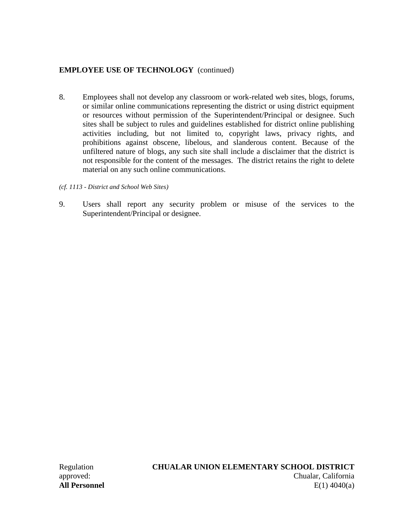# **EMPLOYEE USE OF TECHNOLOGY** (continued)

- 8. Employees shall not develop any classroom or work-related web sites, blogs, forums, or similar online communications representing the district or using district equipment or resources without permission of the Superintendent/Principal or designee. Such sites shall be subject to rules and guidelines established for district online publishing activities including, but not limited to, copyright laws, privacy rights, and prohibitions against obscene, libelous, and slanderous content. Because of the unfiltered nature of blogs, any such site shall include a disclaimer that the district is not responsible for the content of the messages. The district retains the right to delete material on any such online communications.
- *(cf. 1113 District and School Web Sites)*
- 9. Users shall report any security problem or misuse of the services to the Superintendent/Principal or designee.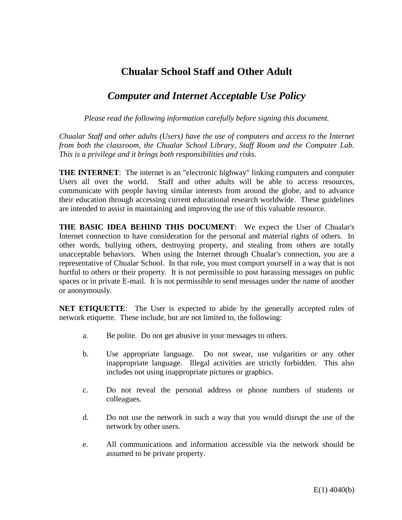# **Chualar School Staff and Other Adult**

# *Computer and Internet Acceptable Use Policy*

*Please read the following information carefully before signing this document.* 

*Chualar Staff and other adults (Users) have the use of computers and access to the Internet from both the classroom, the Chualar School Library, Staff Room and the Computer Lab. This is a privilege and it brings both responsibilities and risks.* 

**THE INTERNET:** The internet is an "electronic highway" linking computers and computer Users all over the world. Staff and other adults will be able to access resources, communicate with people having similar interests from around the globe, and to advance their education through accessing current educational research worldwide. These guidelines are intended to assist in maintaining and improving the use of this valuable resource.

**THE BASIC IDEA BEHIND THIS DOCUMENT**: We expect the User of Chualar's Internet connection to have consideration for the personal and material rights of others. In other words, bullying others, destroying property, and stealing from others are totally unacceptable behaviors. When using the Internet through Chualar's connection, you are a representative of Chualar School. In that role, you must comport yourself in a way that is not hurtful to others or their property. It is not permissible to post harassing messages on public spaces or in private E-mail. It is not permissible to send messages under the name of another or anonymously.

**NET ETIQUETTE**: The User is expected to abide by the generally accepted rules of network etiquette. These include, but are not limited to, the following:

- a. Be polite. Do not get abusive in your messages to others.
- b. Use appropriate language. Do not swear, use vulgarities or any other inappropriate language. Illegal activities are strictly forbidden. This also includes not using inappropriate pictures or graphics.
- c. Do not reveal the personal address or phone numbers of students or colleagues.
- d. Do not use the network in such a way that you would disrupt the use of the network by other users.
- e. All communications and information accessible via the network should be assumed to be private property.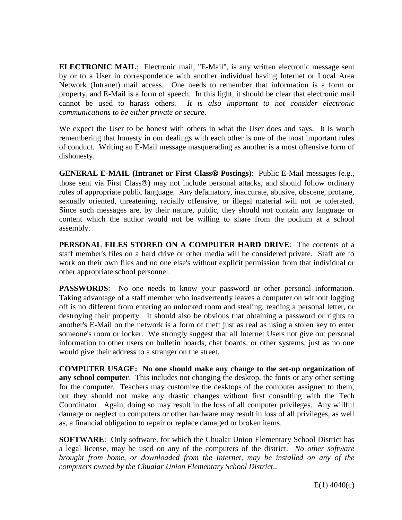**ELECTRONIC MAIL**: Electronic mail, "E-Mail", is any written electronic message sent by or to a User in correspondence with another individual having Internet or Local Area Network (Intranet) mail access. One needs to remember that information is a form or property, and E-Mail is a form of speech. In this light, it should be clear that electronic mail cannot be used to harass others. *It is also important to not consider electronic communications to be either private or secure*.

We expect the User to be honest with others in what the User does and says. It is worth remembering that honesty in our dealings with each other is one of the most important rules of conduct. Writing an E-Mail message masquerading as another is a most offensive form of dishonesty.

**GENERAL E-MAIL (Intranet or First Class® Postings):** Public E-Mail messages (e.g., those sent via First Class<sup>®</sup>) may not include personal attacks, and should follow ordinary rules of appropriate public language. Any defamatory, inaccurate, abusive, obscene, profane, sexually oriented, threatening, racially offensive, or illegal material will not be tolerated. Since such messages are, by their nature, public, they should not contain any language or content which the author would not be willing to share from the podium at a school assembly.

**PERSONAL FILES STORED ON A COMPUTER HARD DRIVE**: The contents of a staff member's files on a hard drive or other media will be considered private. Staff are to work on their own files and no one else's without explicit permission from that individual or other appropriate school personnel.

**PASSWORDS:** No one needs to know your password or other personal information. Taking advantage of a staff member who inadvertently leaves a computer on without logging off is no different from entering an unlocked room and stealing, reading a personal letter, or destroying their property. It should also be obvious that obtaining a password or rights to another's E-Mail on the network is a form of theft just as real as using a stolen key to enter someone's room or locker. We strongly suggest that all Internet Users not give out personal information to other users on bulletin boards, chat boards, or other systems, just as no one would give their address to a stranger on the street.

**COMPUTER USAGE: No one should make any change to the set-up organization of any school computer**. This includes not changing the desktop, the fonts or any other setting for the computer. Teachers may customize the desktops of the computer assigned to them, but they should not make any drastic changes without first consulting with the Tech Coordinator. Again, doing so may result in the loss of all computer privileges. Any willful damage or neglect to computers or other hardware may result in loss of all privileges, as well as, a financial obligation to repair or replace damaged or broken items.

**SOFTWARE:** Only software, for which the Chualar Union Elementary School District has a legal license, may be used on any of the computers of the district. *No other software brought from home, or downloaded from the Internet, may be installed on any of the computers owned by the Chualar Union Elementary School District*..